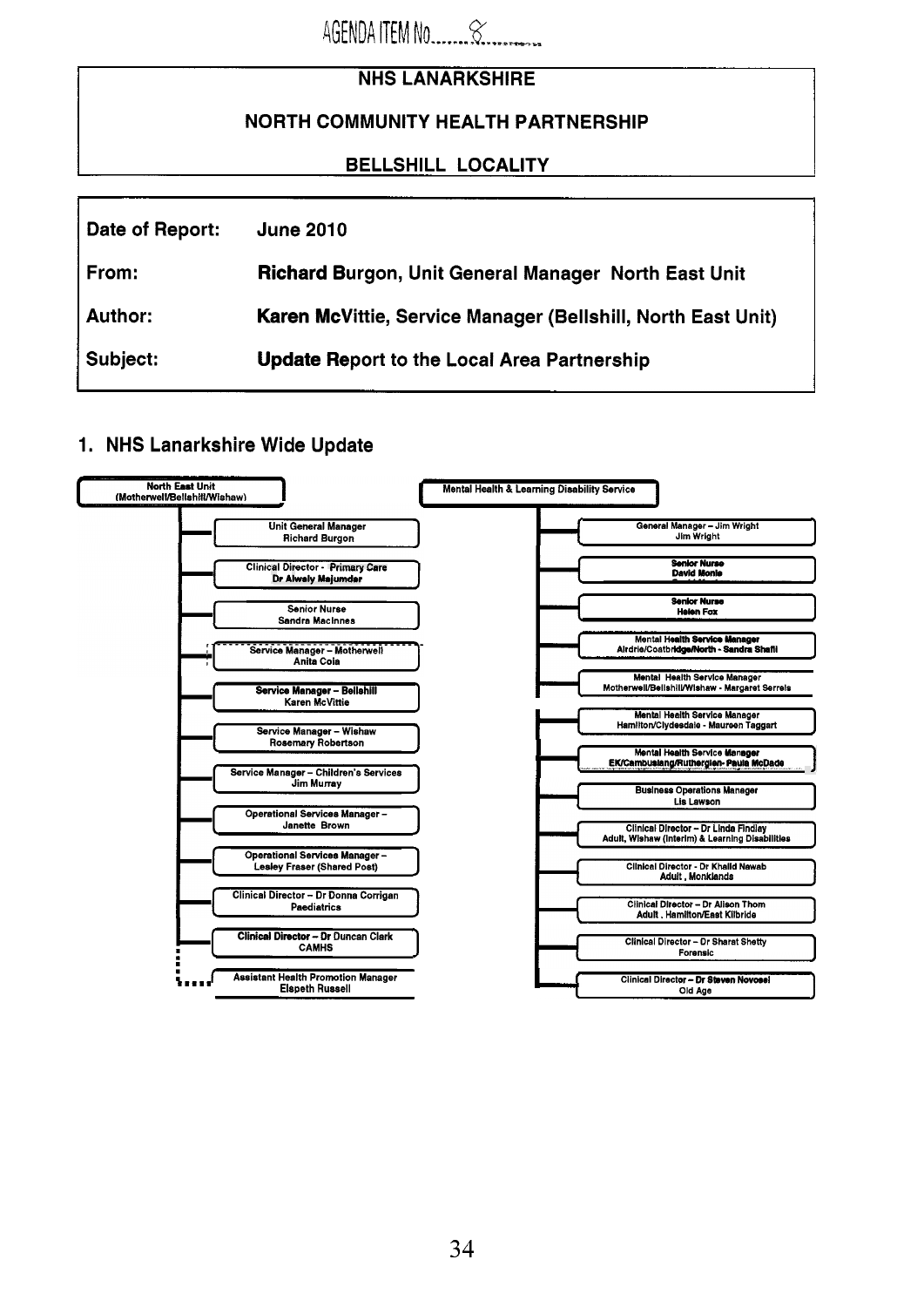|                           | <b>NHS LANARKSHIRE</b>                                       |  |
|---------------------------|--------------------------------------------------------------|--|
|                           | <b>NORTH COMMUNITY HEALTH PARTNERSHIP</b>                    |  |
| <b>BELLSHILL LOCALITY</b> |                                                              |  |
|                           |                                                              |  |
| Date of Report:           | <b>June 2010</b>                                             |  |
| From:                     | Richard Burgon, Unit General Manager North East Unit         |  |
| Author:                   | Karen McVittie, Service Manager (Bellshill, North East Unit) |  |
| Subject:                  | <b>Update Report to the Local Area Partnership</b>           |  |

 $4$ GENDA ITEM No  $\alpha$ 

# 1. NHS Lanarkshire Wide Update

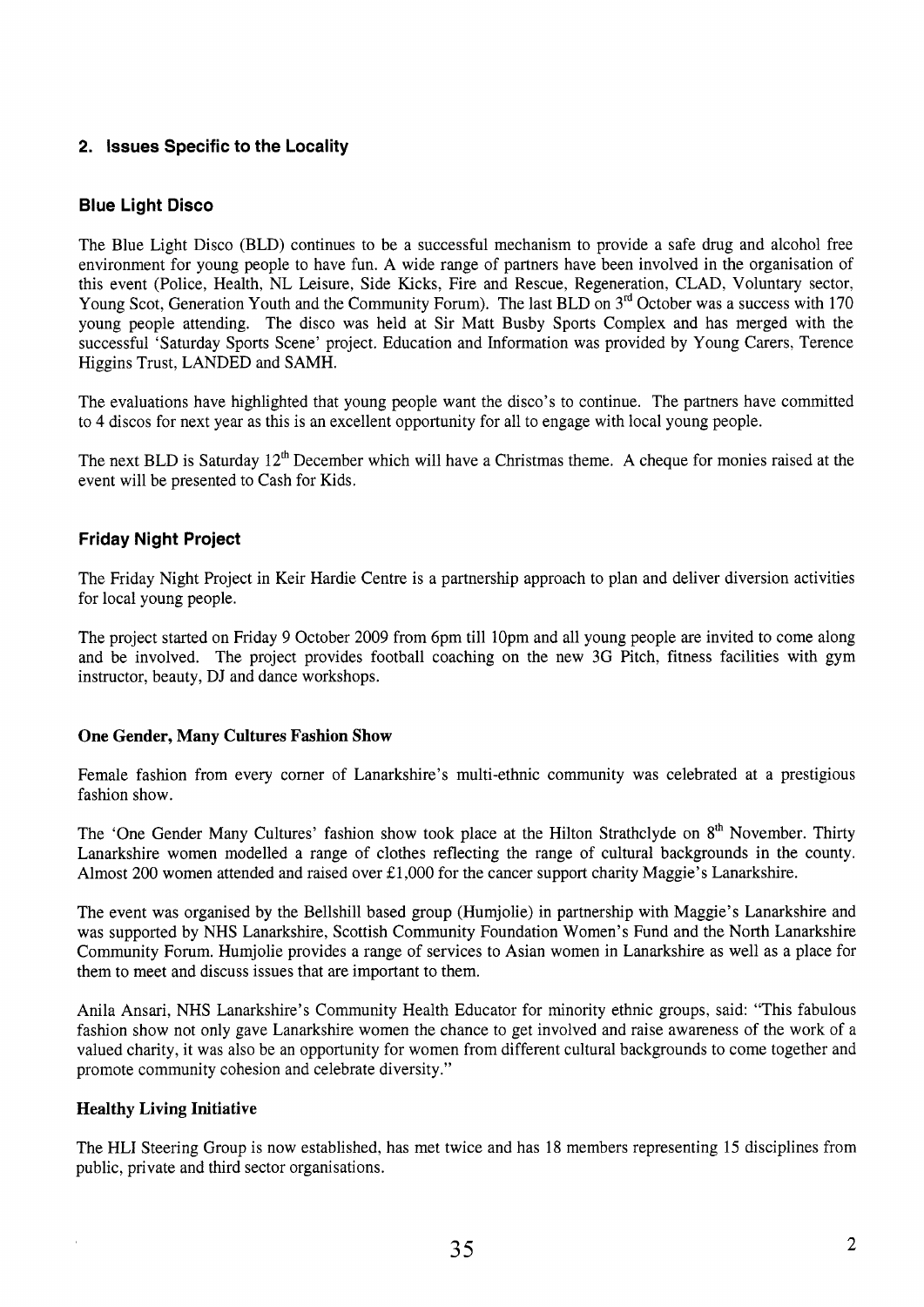## **2. Issues Specific to the Locality**

## **Blue Light Disco**

The Blue Light Disco (BLD) continues to be a successful mechanism to provide a safe drug and alcohol free environment for young people to have fun. A wide range of partners have been involved in the organisation of this event (Police, Health, NL Leisure, Side Kicks, Fire and Rescue, Regeneration, CLAD, Voluntary sector, Young Scot, Generation Youth and the Community Forum). The last BLD on 3<sup>rd</sup> October was a success with 170 young people attending. The disco was held at Sir Matt Busby Sports Complex and has merged with the successful 'Saturday Sports Scene' project. Education and Information was provided by Young Carers, Terence Higgins Trust, LANDED and SAMH.

The evaluations have highlighted that young people want the disco's to continue. The partners have committed to **4** discos for next year as this is an excellent opportunity for all to engage with local young people.

The next BLD is Saturday 12<sup>th</sup> December which will have a Christmas theme. A cheque for monies raised at the event will be presented to Cash for Kids.

#### **Friday Night Project**

The Friday Night Project in Keir Hardie Centre is a partnership approach to plan and deliver diversion activities for local young people.

The project started on Friday 9 October 2009 from 6pm till lOpm and all young people are invited to come along and be involved. The project provides football coaching on the new 3G Pitch, fitness facilities with gym instructor, beauty, DJ and dance workshops.

#### **One Gender, Many Cultures Fashion Show**

Female fashion from every corner of Lanarkshire's multi-ethnic community was celebrated at a prestigious fashion show.

The 'One Gender Many Cultures' fashion show took place at the Hilton Strathclyde on 8<sup>th</sup> November. Thirty Lanarkshire women modelled a range of clothes reflecting the range of cultural backgrounds in the county. Almost 200 women attended and raised over £1,000 for the cancer support charity Maggie's Lanarkshire.

The event was organised by the Bellshill based group (Humjolie) in partnership with Maggie's Lanarkshire and was supported by NHS Lanarkshire, Scottish Community Foundation Women's Fund and the North Lanarkshire Community Forum. Humjolie provides a range of services to Asian women in Lanarkshire as well as a place for them to meet and discuss issues that are important to them.

Anila Ansari, NHS Lanarkshire's Community Health Educator for minority ethnic groups, said: "This fabulous fashion show not only gave Lanarkshire women the chance to get involved and raise awareness of the work of a valued charity, it was also be an opportunity for women from different cultural backgrounds to come together and promote community cohesion and celebrate diversity."

#### **Healthy Living Initiative**

The HLI Steering Group is now established, has met twice and has 18 members representing 15 disciplines from public, private and third sector organisations.